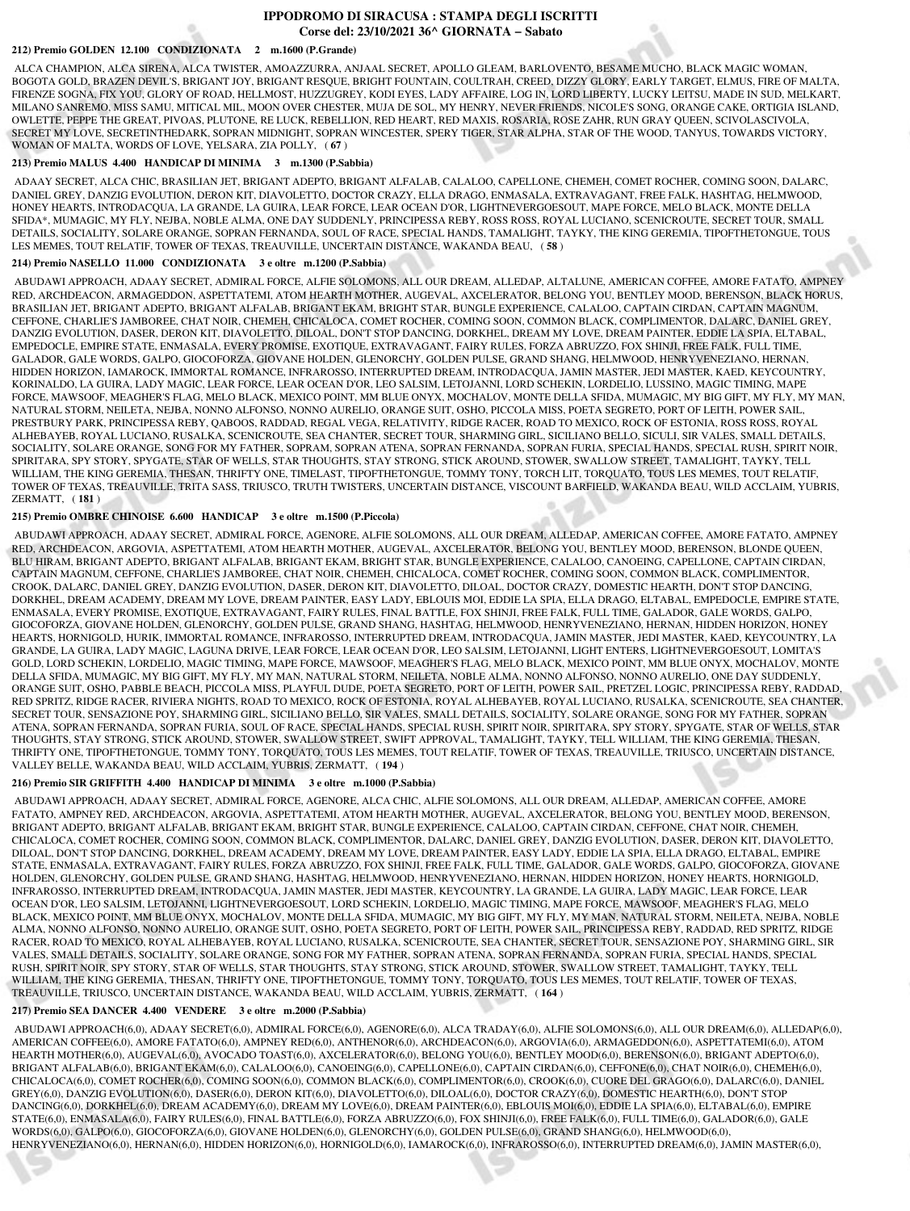## **IPPODROMO DI SIRACUSA : STAMPA DEGLI ISCRITTI Corse del: 23/10/2021 36^ GIORNATA − Sabato**

# **212) Premio GOLDEN 12.100 CONDIZIONATA 2 m.1600 (P.Grande)**

 ALCA CHAMPION, ALCA SIRENA, ALCA TWISTER, AMOAZZURRA, ANJAAL SECRET, APOLLO GLEAM, BARLOVENTO, BESAME MUCHO, BLACK MAGIC WOMAN, BOGOTA GOLD, BRAZEN DEVIL'S, BRIGANT JOY, BRIGANT RESQUE, BRIGHT FOUNTAIN, COULTRAH, CREED, DIZZY GLORY, EARLY TARGET, ELMUS, FIRE OF MALTA, FIRENZE SOGNA, FIX YOU, GLORY OF ROAD, HELLMOST, HUZZUGREY, KODI EYES, LADY AFFAIRE, LOG IN, LORD LIBERTY, LUCKY LEITSU, MADE IN SUD, MELKART, MILANO SANREMO, MISS SAMU, MITICAL MIL, MOON OVER CHESTER, MUJA DE SOL, MY HENRY, NEVER FRIENDS, NICOLE'S SONG, ORANGE CAKE, ORTIGIA ISLAND, OWLETTE, PEPPE THE GREAT, PIVOAS, PLUTONE, RE LUCK, REBELLION, RED HEART, RED MAXIS, ROSARIA, ROSE ZAHR, RUN GRAY QUEEN, SCIVOLASCIVOLA, SECRET MY LOVE, SECRETINTHEDARK, SOPRAN MIDNIGHT, SOPRAN WINCESTER, SPERY TIGER, STAR ALPHA, STAR OF THE WOOD, TANYUS, TOWARDS VICTORY, WOMAN OF MALTA, WORDS OF LOVE, YELSARA, ZIA POLLY, ( **67** )

### **213) Premio MALUS 4.400 HANDICAP DI MINIMA 3 m.1300 (P.Sabbia)**

 ADAAY SECRET, ALCA CHIC, BRASILIAN JET, BRIGANT ADEPTO, BRIGANT ALFALAB, CALALOO, CAPELLONE, CHEMEH, COMET ROCHER, COMING SOON, DALARC, DANIEL GREY, DANZIG EVOLUTION, DERON KIT, DIAVOLETTO, DOCTOR CRAZY, ELLA DRAGO, ENMASALA, EXTRAVAGANT, FREE FALK, HASHTAG, HELMWOOD, HONEY HEARTS, INTRODACQUA, LA GRANDE, LA GUIRA, LEAR FORCE, LEAR OCEAN D'OR, LIGHTNEVERGOESOUT, MAPE FORCE, MELO BLACK, MONTE DELLA SFIDA\*, MUMAGIC, MY FLY, NEJBA, NOBLE ALMA, ONE DAY SUDDENLY, PRINCIPESSA REBY, ROSS ROSS, ROYAL LUCIANO, SCENICROUTE, SECRET TOUR, SMALL DETAILS, SOCIALITY, SOLARE ORANGE, SOPRAN FERNANDA, SOUL OF RACE, SPECIAL HANDS, TAMALIGHT, TAYKY, THE KING GEREMIA, TIPOFTHETONGUE, TOUS LES MEMES, TOUT RELATIF, TOWER OF TEXAS, TREAUVILLE, UNCERTAIN DISTANCE, WAKANDA BEAU, ( **58** )

#### **214) Premio NASELLO 11.000 CONDIZIONATA 3 e oltre m.1200 (P.Sabbia)**

 ABUDAWI APPROACH, ADAAY SECRET, ADMIRAL FORCE, ALFIE SOLOMONS, ALL OUR DREAM, ALLEDAP, ALTALUNE, AMERICAN COFFEE, AMORE FATATO, AMPNEY RED, ARCHDEACON, ARMAGEDDON, ASPETTATEMI, ATOM HEARTH MOTHER, AUGEVAL, AXCELERATOR, BELONG YOU, BENTLEY MOOD, BERENSON, BLACK HORUS, BRASILIAN JET, BRIGANT ADEPTO, BRIGANT ALFALAB, BRIGANT EKAM, BRIGHT STAR, BUNGLE EXPERIENCE, CALALOO, CAPTAIN CIRDAN, CAPTAIN MAGNUM, CEFFONE, CHARLIE'S JAMBOREE, CHAT NOIR, CHEMEH, CHICALOCA, COMET ROCHER, COMING SOON, COMMON BLACK, COMPLIMENTOR, DALARC, DANIEL GREY, DANZIG EVOLUTION, DASER, DERON KIT, DIAVOLETTO, DILOAL, DON'T STOP DANCING, DORKHEL, DREAM MY LOVE, DREAM PAINTER, EDDIE LA SPIA, ELTABAL, EMPEDOCLE, EMPIRE STATE, ENMASALA, EVERY PROMISE, EXOTIQUE, EXTRAVAGANT, FAIRY RULES, FORZA ABRUZZO, FOX SHINJI, FREE FALK, FULL TIME, GALADOR, GALE WORDS, GALPO, GIOCOFORZA, GIOVANE HOLDEN, GLENORCHY, GOLDEN PULSE, GRAND SHANG, HELMWOOD, HENRYVENEZIANO, HERNAN, HIDDEN HORIZON, IAMAROCK, IMMORTAL ROMANCE, INFRAROSSO, INTERRUPTED DREAM, INTRODACQUA, JAMIN MASTER, JEDI MASTER, KAED, KEYCOUNTRY, KORINALDO, LA GUIRA, LADY MAGIC, LEAR FORCE, LEAR OCEAN D'OR, LEO SALSIM, LETOJANNI, LORD SCHEKIN, LORDELIO, LUSSINO, MAGIC TIMING, MAPE FORCE, MAWSOOF, MEAGHER'S FLAG, MELO BLACK, MEXICO POINT, MM BLUE ONYX, MOCHALOV, MONTE DELLA SFIDA, MUMAGIC, MY BIG GIFT, MY FLY, MY MAN, NATURAL STORM, NEILETA, NEJBA, NONNO ALFONSO, NONNO AURELIO, ORANGE SUIT, OSHO, PICCOLA MISS, POETA SEGRETO, PORT OF LEITH, POWER SAIL, PRESTBURY PARK, PRINCIPESSA REBY, QABOOS, RADDAD, REGAL VEGA, RELATIVITY, RIDGE RACER, ROAD TO MEXICO, ROCK OF ESTONIA, ROSS ROSS, ROYAL ALHEBAYEB, ROYAL LUCIANO, RUSALKA, SCENICROUTE, SEA CHANTER, SECRET TOUR, SHARMING GIRL, SICILIANO BELLO, SICULI, SIR VALES, SMALL DETAILS, SOCIALITY, SOLARE ORANGE, SONG FOR MY FATHER, SOPRAM, SOPRAN ATENA, SOPRAN FERNANDA, SOPRAN FURIA, SPECIAL HANDS, SPECIAL RUSH, SPIRIT NOIR, SPIRITARA, SPY STORY, SPYGATE, STAR OF WELLS, STAR THOUGHTS, STAY STRONG, STICK AROUND, STOWER, SWALLOW STREET, TAMALIGHT, TAYKY, TELL WILLIAM, THE KING GEREMIA, THESAN, THRIFTY ONE, TIMELAST, TIPOFTHETONGUE, TOMMY TONY, TORCH LIT, TORQUATO, TOUS LES MEMES, TOUT RELATIF, TOWER OF TEXAS, TREAUVILLE, TRITA SASS, TRIUSCO, TRUTH TWISTERS, UNCERTAIN DISTANCE, VISCOUNT BARFIELD, WAKANDA BEAU, WILD ACCLAIM, YUBRIS, ZERMATT, ( **181** )

#### **215) Premio OMBRE CHINOISE 6.600 HANDICAP 3 e oltre m.1500 (P.Piccola)**

 ABUDAWI APPROACH, ADAAY SECRET, ADMIRAL FORCE, AGENORE, ALFIE SOLOMONS, ALL OUR DREAM, ALLEDAP, AMERICAN COFFEE, AMORE FATATO, AMPNEY RED, ARCHDEACON, ARGOVIA, ASPETTATEMI, ATOM HEARTH MOTHER, AUGEVAL, AXCELERATOR, BELONG YOU, BENTLEY MOOD, BERENSON, BLONDE QUEEN, BLU HIRAM, BRIGANT ADEPTO, BRIGANT ALFALAB, BRIGANT EKAM, BRIGHT STAR, BUNGLE EXPERIENCE, CALALOO, CANOEING, CAPELLONE, CAPTAIN CIRDAN, CAPTAIN MAGNUM, CEFFONE, CHARLIE'S JAMBOREE, CHAT NOIR, CHEMEH, CHICALOCA, COMET ROCHER, COMING SOON, COMMON BLACK, COMPLIMENTOR, CROOK, DALARC, DANIEL GREY, DANZIG EVOLUTION, DASER, DERON KIT, DIAVOLETTO, DILOAL, DOCTOR CRAZY, DOMESTIC HEARTH, DON'T STOP DANCING, DORKHEL, DREAM ACADEMY, DREAM MY LOVE, DREAM PAINTER, EASY LADY, EBLOUIS MOI, EDDIE LA SPIA, ELLA DRAGO, ELTABAL, EMPEDOCLE, EMPIRE STATE, ENMASALA, EVERY PROMISE, EXOTIQUE, EXTRAVAGANT, FAIRY RULES, FINAL BATTLE, FOX SHINJI, FREE FALK, FULL TIME, GALADOR, GALE WORDS, GALPO, GIOCOFORZA, GIOVANE HOLDEN, GLENORCHY, GOLDEN PULSE, GRAND SHANG, HASHTAG, HELMWOOD, HENRYVENEZIANO, HERNAN, HIDDEN HORIZON, HONEY HEARTS, HORNIGOLD, HURIK, IMMORTAL ROMANCE, INFRAROSSO, INTERRUPTED DREAM, INTRODACQUA, JAMIN MASTER, JEDI MASTER, KAED, KEYCOUNTRY, LA GRANDE, LA GUIRA, LADY MAGIC, LAGUNA DRIVE, LEAR FORCE, LEAR OCEAN D'OR, LEO SALSIM, LETOJANNI, LIGHT ENTERS, LIGHTNEVERGOESOUT, LOMITA'S GOLD, LORD SCHEKIN, LORDELIO, MAGIC TIMING, MAPE FORCE, MAWSOOF, MEAGHER'S FLAG, MELO BLACK, MEXICO POINT, MM BLUE ONYX, MOCHALOV, MONTE DELLA SFIDA, MUMAGIC, MY BIG GIFT, MY FLY, MY MAN, NATURAL STORM, NEILETA, NOBLE ALMA, NONNO ALFONSO, NONNO AURELIO, ONE DAY SUDDENLY, ORANGE SUIT, OSHO, PABBLE BEACH, PICCOLA MISS, PLAYFUL DUDE, POETA SEGRETO, PORT OF LEITH, POWER SAIL, PRETZEL LOGIC, PRINCIPESSA REBY, RADDAD, RED SPRITZ, RIDGE RACER, RIVIERA NIGHTS, ROAD TO MEXICO, ROCK OF ESTONIA, ROYAL ALHEBAYEB, ROYAL LUCIANO, RUSALKA, SCENICROUTE, SEA CHANTER, SECRET TOUR, SENSAZIONE POY, SHARMING GIRL, SICILIANO BELLO, SIR VALES, SMALL DETAILS, SOCIALITY, SOLARE ORANGE, SONG FOR MY FATHER, SOPRAN ATENA, SOPRAN FERNANDA, SOPRAN FURIA, SOUL OF RACE, SPECIAL HANDS, SPECIAL RUSH, SPIRIT NOIR, SPIRITARA, SPY STORY, SPYGATE, STAR OF WELLS, STAR THOUGHTS, STAY STRONG, STICK AROUND, STOWER, SWALLOW STREET, SWIFT APPROVAL, TAMALIGHT, TAYKY, TELL WILLIAM, THE KING GEREMIA, THESAN, THRIFTY ONE, TIPOFTHETONGUE, TOMMY TONY, TORQUATO, TOUS LES MEMES, TOUT RELATIF, TOWER OF TEXAS, TREAUVILLE, TRIUSCO, UNCERTAIN DISTANCE, VALLEY BELLE, WAKANDA BEAU, WILD ACCLAIM, YUBRIS, ZERMATT, ( **194** )

### **216) Premio SIR GRIFFITH 4.400 HANDICAP DI MINIMA 3 e oltre m.1000 (P.Sabbia)**

 ABUDAWI APPROACH, ADAAY SECRET, ADMIRAL FORCE, AGENORE, ALCA CHIC, ALFIE SOLOMONS, ALL OUR DREAM, ALLEDAP, AMERICAN COFFEE, AMORE FATATO, AMPNEY RED, ARCHDEACON, ARGOVIA, ASPETTATEMI, ATOM HEARTH MOTHER, AUGEVAL, AXCELERATOR, BELONG YOU, BENTLEY MOOD, BERENSON, BRIGANT ADEPTO, BRIGANT ALFALAB, BRIGANT EKAM, BRIGHT STAR, BUNGLE EXPERIENCE, CALALOO, CAPTAIN CIRDAN, CEFFONE, CHAT NOIR, CHEMEH, CHICALOCA, COMET ROCHER, COMING SOON, COMMON BLACK, COMPLIMENTOR, DALARC, DANIEL GREY, DANZIG EVOLUTION, DASER, DERON KIT, DIAVOLETTO, DILOAL, DON'T STOP DANCING, DORKHEL, DREAM ACADEMY, DREAM MY LOVE, DREAM PAINTER, EASY LADY, EDDIE LA SPIA, ELLA DRAGO, ELTABAL, EMPIRE STATE, ENMASALA, EXTRAVAGANT, FAIRY RULES, FORZA ABRUZZO, FOX SHINJI, FREE FALK, FULL TIME, GALADOR, GALE WORDS, GALPO, GIOCOFORZA, GIOVANE HOLDEN, GLENORCHY, GOLDEN PULSE, GRAND SHANG, HASHTAG, HELMWOOD, HENRYVENEZIANO, HERNAN, HIDDEN HORIZON, HONEY HEARTS, HORNIGOLD, INFRAROSSO, INTERRUPTED DREAM, INTRODACQUA, JAMIN MASTER, JEDI MASTER, KEYCOUNTRY, LA GRANDE, LA GUIRA, LADY MAGIC, LEAR FORCE, LEAR OCEAN D'OR, LEO SALSIM, LETOJANNI, LIGHTNEVERGOESOUT, LORD SCHEKIN, LORDELIO, MAGIC TIMING, MAPE FORCE, MAWSOOF, MEAGHER'S FLAG, MELO BLACK, MEXICO POINT, MM BLUE ONYX, MOCHALOV, MONTE DELLA SFIDA, MUMAGIC, MY BIG GIFT, MY FLY, MY MAN, NATURAL STORM, NEILETA, NEJBA, NOBLE ALMA, NONNO ALFONSO, NONNO AURELIO, ORANGE SUIT, OSHO, POETA SEGRETO, PORT OF LEITH, POWER SAIL, PRINCIPESSA REBY, RADDAD, RED SPRITZ, RIDGE RACER, ROAD TO MEXICO, ROYAL ALHEBAYEB, ROYAL LUCIANO, RUSALKA, SCENICROUTE, SEA CHANTER, SECRET TOUR, SENSAZIONE POY, SHARMING GIRL, SIR VALES, SMALL DETAILS, SOCIALITY, SOLARE ORANGE, SONG FOR MY FATHER, SOPRAN ATENA, SOPRAN FERNANDA, SOPRAN FURIA, SPECIAL HANDS, SPECIAL RUSH, SPIRIT NOIR, SPY STORY, STAR OF WELLS, STAR THOUGHTS, STAY STRONG, STICK AROUND, STOWER, SWALLOW STREET, TAMALIGHT, TAYKY, TELL WILLIAM, THE KING GEREMIA, THESAN, THRIFTY ONE, TIPOFTHETONGUE, TOMMY TONY, TORQUATO, TOUS LES MEMES, TOUT RELATIF, TOWER OF TEXAS, TREAUVILLE, TRIUSCO, UNCERTAIN DISTANCE, WAKANDA BEAU, WILD ACCLAIM, YUBRIS, ZERMATT, ( **164** )

## **217) Premio SEA DANCER 4.400 VENDERE 3 e oltre m.2000 (P.Sabbia)**

 ABUDAWI APPROACH(6,0), ADAAY SECRET(6,0), ADMIRAL FORCE(6,0), AGENORE(6,0), ALCA TRADAY(6,0), ALFIE SOLOMONS(6,0), ALL OUR DREAM(6,0), ALLEDAP(6,0), AMERICAN COFFEE(6,0), AMORE FATATO(6,0), AMPNEY RED(6,0), ANTHENOR(6,0), ARCHDEACON(6,0), ARGOVIA(6,0), ARMAGEDDON(6,0), ASPETTATEMI(6,0), ATOM HEARTH MOTHER(6,0), AUGEVAL(6,0), AVOCADO TOAST(6,0), AXCELERATOR(6,0), BELONG YOU(6,0), BENTLEY MOOD(6,0), BERENSON(6,0), BRIGANT ADEPTO(6,0), BRIGANT ALFALAB(6,0), BRIGANT EKAM(6,0), CALALOO(6,0), CANOEING(6,0), CAPELLONE(6,0), CAPTAIN CIRDAN(6,0), CEFFONE(6,0), CHAT NOIR(6,0), CHEMEH(6,0), CHICALOCA(6,0), COMET ROCHER(6,0), COMING SOON(6,0), COMMON BLACK(6,0), COMPLIMENTOR(6,0), CROOK(6,0), CUORE DEL GRAGO(6,0), DALARC(6,0), DANIEL GREY(6,0), DANZIG EVOLUTION(6,0), DASER(6,0), DERON KIT(6,0), DIAVOLETTO(6,0), DILOAL(6,0), DOCTOR CRAZY(6,0), DOMESTIC HEARTH(6,0), DON'T STOP DANCING(6,0), DORKHEL(6,0), DREAM ACADEMY(6,0), DREAM MY LOVE(6,0), DREAM PAINTER(6,0), EBLOUIS MOI(6,0), EDDIE LA SPIA(6,0), ELTABAL(6,0), EMPIRE STATE(6,0), ENMASALA(6,0), FAIRY RULES(6,0), FINAL BATTLE(6,0), FORZA ABRUZZO(6,0), FOX SHINJI(6,0), FREE FALK(6,0), FULL TIME(6,0), GALADOR(6,0), GALE WORDS(6,0), GALPO(6,0), GIOCOFORZA(6,0), GIOVANE HOLDEN(6,0), GLENORCHY(6,0), GOLDEN PULSE(6,0), GRAND SHANG(6,0), HELMWOOD(6,0), HENRYVENEZIANO(6,0), HERNAN(6,0), HIDDEN HORIZON(6,0), HORNIGOLD(6,0), IAMAROCK(6,0), INFRAROSSO(6,0), INTERRUPTED DREAM(6,0), JAMIN MASTER(6,0),